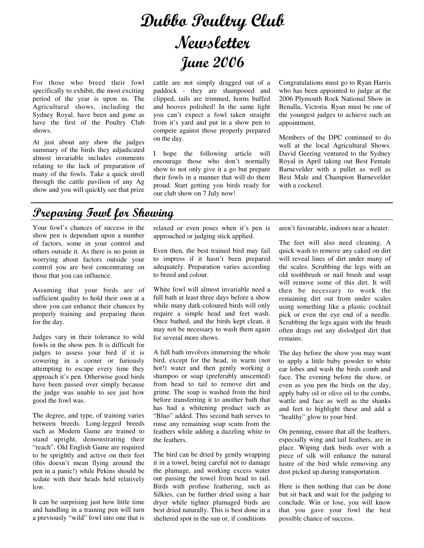## Dubbo Poultry Club Newsletter June 2006

For those who breed their fowl specifically to exhibit, the most exciting period of the year is upon us. The Agricultural shows, including the Sydney Royal, have been and gone as have the first of the Poultry Club shows.

At just about any show the judges summary of the birds they adjudicated almost invariable includes comments relating to the lack of preparation of many of the fowls. Take a quick stroll through the cattle pavilion of any Ag show and you will quickly see that prize cattle are not simply dragged out of a paddock - they are shampooed and clipped, tails are trimmed, horns buffed and hooves polished! In the same light you can't expect a fowl taken straight from it's yard and put in a show pen to compete against those properly prepared on the day.

I hope the following article will encourage those who don't normally show to not only give it a go but prepare their fowls in a manner that will do them proud. Start getting you birds ready for our club show on 7 July now!

Congratulations must go to Ryan Harris who has been appointed to judge at the 2006 Plymouth Rock National Show in Benalla, Victoria. Ryan must be one of the youngest judges to achieve such an appointment.

Members of the DPC continued to do well at the local Agricultural Shows. David Geering ventured to the Sydney Royal in April taking out Best Female Barnevelder with a pullet as well as Best Male and Champion Barnevelder with a cockerel.

## Preparing Fowl for Showing

Your fowl's chances of success in the show pen is dependant upon a number of factors, some in your control and others outside it. As there is no point in worrying about factors outside your control you are best concentrating on those that you can influence.

Assuming that your birds are of sufficient quality to hold their own at a show you can enhance their chances by properly training and preparing them for the day.

Judges vary in their tolerance to wild fowls in the show pen. It is difficult for judges to assess your bird if it is cowering in a corner or furiously attempting to escape every time they approach it's pen. Otherwise good birds have been passed over simply because the judge was unable to see just how good the fowl was.

The degree, and type, of training varies between breeds. Long-legged breeds such as Modern Game are trained to stand upright, demonstrating their "reach". Old English Game are required to be sprightly and active on their feet (this doesn't mean flying around the pen in a panic!) while Pekins should be sedate with their heads held relatively low.

It can be surprising just how little time and handling in a training pen will turn a previously "wild" fowl into one that is

relaxed or even poses when it's pen is approached or judging stick applied.

Even then, the best trained bird may fail to impress if it hasn't been prepared adequately. Preparation varies according to breed and colour.

White fowl will almost invariable need a full bath at least three days before a show while many dark-coloured birds will only require a simple head and feet wash. Once bathed, and the birds kept clean, it may not be necessary to wash them again for several more shows.

A full bath involves immersing the whole bird, except for the head, in warm (not hot!) water and then gently working a shampoo or soap (preferably unscented) from head to tail to remove dirt and grime. The soap is washed from the bird before transferring it to another bath that has had a whitening product such as "Bluo" added. This second bath serves to rinse any remaining soap scum from the feathers while adding a dazzling white to the feathers.

The bird can be dried by gently wrapping it in a towel, being careful not to damage the plumage, and working excess water out passing the towel from head to tail. Birds with profuse feathering, such as Silkies, can be further dried using a hair dryer while tighter plumaged birds are best dried naturally. This is best done in a sheltered spot in the sun or, if conditions

aren't favourable, indoors near a heater.

The feet will also need cleaning. A quick wash to remove any caked on dirt will reveal lines of dirt under many of the scales. Scrubbing the legs with an old toothbrush or nail brush and soap will remove some of this dirt. It will then be necessary to work the remaining dirt out from under scales using something like a plastic cocktail pick or even the eye end of a needle. Scrubbing the legs again with the brush often drags out any dislodged dirt that remains.

The day before the show you may want to apply a little baby powder to white ear lobes and wash the birds comb and face. The evening before the show, or even as you pen the birds on the day, apply baby oil or olive oil to the combs, wattle and face as well as the shanks and feet to highlight these and add a "healthy" glow to your bird.

On penning, ensure that all the feathers, especially wing and tail feathers, are in place. Wiping dark birds over with a piece of silk will enhance the natural lustre of the bird while removing any dust picked up during transportation.

Here is then nothing that can be done but sit back and wait for the judging to conclude. Win or lose, you will know that you gave your fowl the best possible chance of success.